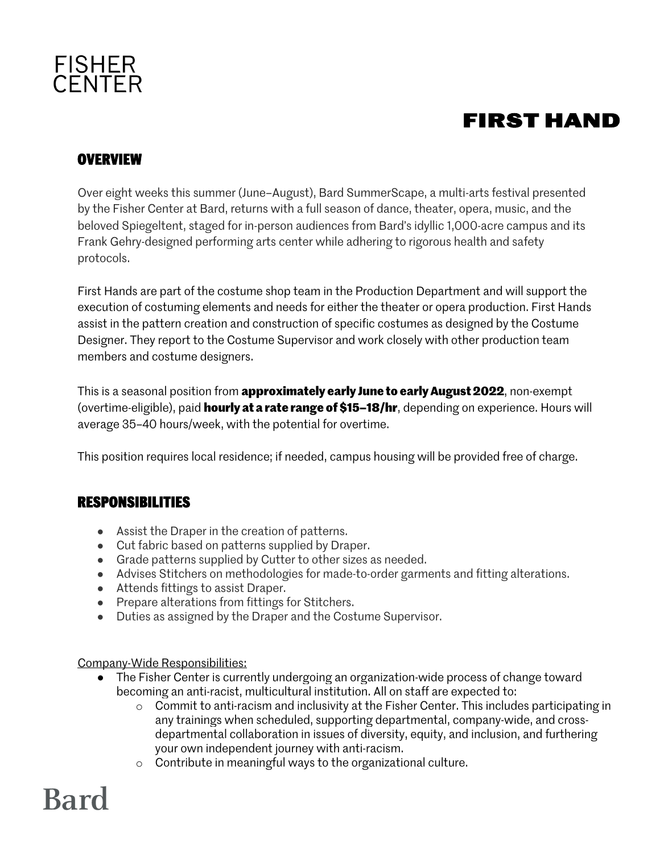## FISHER<br>CENTER

### **FIRST HAND**

#### **OVERVIEW**

Over eight weeks this summer (June–August), Bard SummerScape, a multi-arts festival presented by the Fisher Center at Bard, returns with a full season of dance, theater, opera, music, and the beloved Spiegeltent, staged for in-person audiences from Bard's idyllic 1,000-acre campus and its Frank Gehry-designed performing arts center while adhering to rigorous health and safety protocols.

First Hands are part of the costume shop team in the Production Department and will support the execution of costuming elements and needs for either the theater or opera production. First Hands assist in the pattern creation and construction of specific costumes as designed by the Costume Designer. They report to the Costume Supervisor and work closely with other production team members and costume designers.

This is a seasonal position from **approximately early June to early August 2022**, non-exempt (overtime-eligible), paid **hourly at a rate range of \$15–18/hr**, depending on experience. Hours will average 35–40 hours/week, with the potential for overtime.

This position requires local residence; if needed, campus housing will be provided free of charge.

#### **RESPONSIBILITIES**

- Assist the Draper in the creation of patterns.
- Cut fabric based on patterns supplied by Draper.
- Grade patterns supplied by Cutter to other sizes as needed.
- Advises Stitchers on methodologies for made-to-order garments and fitting alterations.
- Attends fittings to assist Draper.
- Prepare alterations from fittings for Stitchers.
- Duties as assigned by the Draper and the Costume Supervisor.

Company-Wide Responsibilities:

- The Fisher Center is currently undergoing an organization-wide process of change toward becoming an anti-racist, multicultural institution. All on staff are expected to:
	- o Commit to anti-racism and inclusivity at the Fisher Center. This includes participating in any trainings when scheduled, supporting departmental, company-wide, and crossdepartmental collaboration in issues of diversity, equity, and inclusion, and furthering your own independent journey with anti-racism.
	- o Contribute in meaningful ways to the organizational culture.

## **Bard**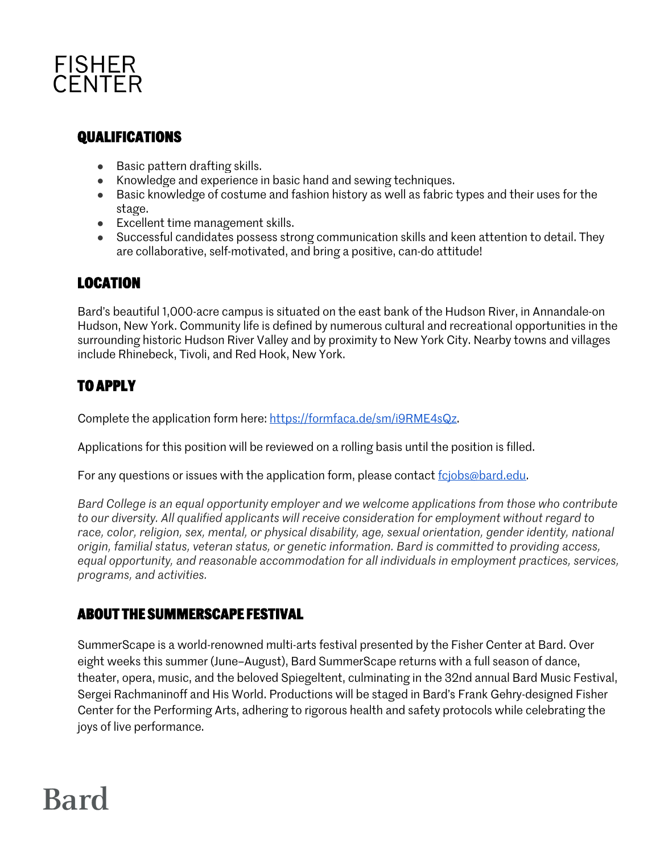

#### **QUALIFICATIONS**

- Basic pattern drafting skills.
- Knowledge and experience in basic hand and sewing techniques.
- Basic knowledge of costume and fashion history as well as fabric types and their uses for the stage.
- Excellent time management skills.
- Successful candidates possess strong communication skills and keen attention to detail. They are collaborative, self-motivated, and bring a positive, can-do attitude!

#### **LOCATION**

Bard's beautiful 1,000-acre campus is situated on the east bank of the Hudson River, in Annandale-on Hudson, New York. Community life is defined by numerous cultural and recreational opportunities in the surrounding historic Hudson River Valley and by proximity to New York City. Nearby towns and villages include Rhinebeck, Tivoli, and Red Hook, New York.

#### **TO APPLY**

Complete the application form here: https://formfaca.de/sm/i9RME4sQz.

Applications for this position will be reviewed on a rolling basis until the position is filled.

For any questions or issues with the application form, please contact fcjobs@bard.edu.

*Bard College is an equal opportunity employer and we welcome applications from those who contribute to our diversity. All qualified applicants will receive consideration for employment without regard to race, color, religion, sex, mental, or physical disability, age, sexual orientation, gender identity, national origin, familial status, veteran status, or genetic information. Bard is committed to providing access, equal opportunity, and reasonable accommodation for all individuals in employment practices, services, programs, and activities.*

#### **ABOUT THE SUMMERSCAPE FESTIVAL**

SummerScape is a world-renowned multi-arts festival presented by the Fisher Center at Bard. Over eight weeks this summer (June–August), Bard SummerScape returns with a full season of dance, theater, opera, music, and the beloved Spiegeltent, culminating in the 32nd annual Bard Music Festival, Sergei Rachmaninoff and His World. Productions will be staged in Bard's Frank Gehry-designed Fisher Center for the Performing Arts, adhering to rigorous health and safety protocols while celebrating the joys of live performance.

### **Bard**